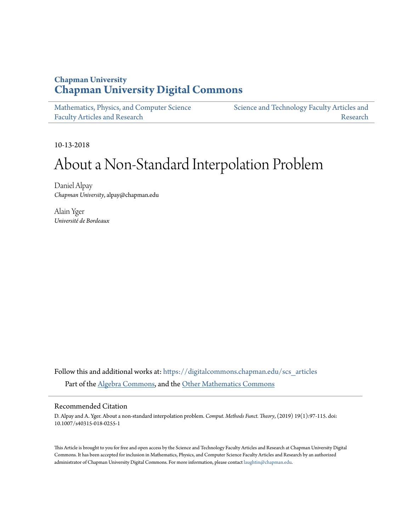# **Chapman University [Chapman University Digital Commons](https://digitalcommons.chapman.edu?utm_source=digitalcommons.chapman.edu%2Fscs_articles%2F615&utm_medium=PDF&utm_campaign=PDFCoverPages)**

[Mathematics, Physics, and Computer Science](https://digitalcommons.chapman.edu/scs_articles?utm_source=digitalcommons.chapman.edu%2Fscs_articles%2F615&utm_medium=PDF&utm_campaign=PDFCoverPages) [Faculty Articles and Research](https://digitalcommons.chapman.edu/scs_articles?utm_source=digitalcommons.chapman.edu%2Fscs_articles%2F615&utm_medium=PDF&utm_campaign=PDFCoverPages)

[Science and Technology Faculty Articles and](https://digitalcommons.chapman.edu/science_articles?utm_source=digitalcommons.chapman.edu%2Fscs_articles%2F615&utm_medium=PDF&utm_campaign=PDFCoverPages) [Research](https://digitalcommons.chapman.edu/science_articles?utm_source=digitalcommons.chapman.edu%2Fscs_articles%2F615&utm_medium=PDF&utm_campaign=PDFCoverPages)

10-13-2018

# About a Non-Standard Interpolation Problem

Daniel Alpay *Chapman University*, alpay@chapman.edu

Alain Yger *Université de Bordeaux*

Follow this and additional works at: [https://digitalcommons.chapman.edu/scs\\_articles](https://digitalcommons.chapman.edu/scs_articles?utm_source=digitalcommons.chapman.edu%2Fscs_articles%2F615&utm_medium=PDF&utm_campaign=PDFCoverPages) Part of the [Algebra Commons,](http://network.bepress.com/hgg/discipline/175?utm_source=digitalcommons.chapman.edu%2Fscs_articles%2F615&utm_medium=PDF&utm_campaign=PDFCoverPages) and the [Other Mathematics Commons](http://network.bepress.com/hgg/discipline/185?utm_source=digitalcommons.chapman.edu%2Fscs_articles%2F615&utm_medium=PDF&utm_campaign=PDFCoverPages)

### Recommended Citation

D. Alpay and A. Yger. About a non-standard interpolation problem. *Comput. Methods Funct. Theory*, (2019) 19(1):97-115. doi: 10.1007/s40315-018-0255-1

This Article is brought to you for free and open access by the Science and Technology Faculty Articles and Research at Chapman University Digital Commons. It has been accepted for inclusion in Mathematics, Physics, and Computer Science Faculty Articles and Research by an authorized administrator of Chapman University Digital Commons. For more information, please contact [laughtin@chapman.edu.](mailto:laughtin@chapman.edu)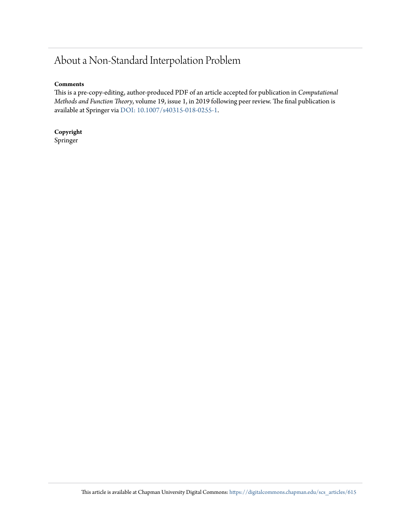# About a Non-Standard Interpolation Problem

# **Comments**

This is a pre-copy-editing, author-produced PDF of an article accepted for publication in *Computational Methods and Function Theory*, volume 19, issue 1, in 2019 following peer review. The final publication is available at Springer via [DOI: 10.1007/s40315-018-0255-1](https://doi.org/10.1007/s40315-018-0255-1).

**Copyright** Springer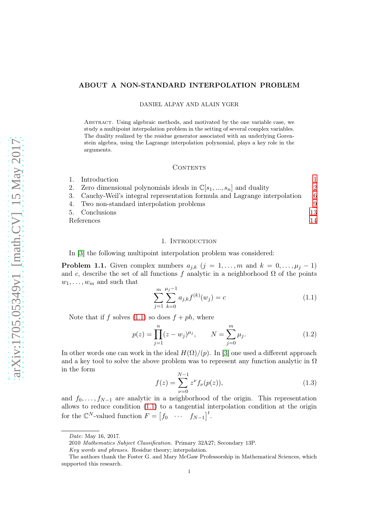#### ABOUT A NON-STANDARD INTERPOLATION PROBLEM

#### DANIEL ALPAY AND ALAIN YGER

Abstract. Using algebraic methods, and motivated by the one variable case, we study a multipoint interpolation problem in the setting of several complex variables. The duality realized by the residue generator associated with an underlying Gorenstein algebra, using the Lagrange interpolation polynomial, plays a key role in the arguments.

#### CONTENTS

| 1. Introduction                                                                |    |
|--------------------------------------------------------------------------------|----|
| 2. Zero dimensional polynomials ideals in $\mathbb{C}[s_1, , s_n]$ and duality | 2  |
| 3. Cauchy-Weil's integral representation formula and Lagrange interpolation    | 6  |
| 4. Two non-standard interpolation problems                                     | 9  |
| 5. Conclusions                                                                 | 13 |
| References                                                                     |    |
|                                                                                |    |

#### 1. Introduction

<span id="page-2-0"></span>In [\[3\]](#page-15-1) the following multipoint interpolation problem was considered:

**Problem 1.1.** Given complex numbers  $a_{j,k}$   $(j = 1, \ldots, m$  and  $k = 0, \ldots, \mu_j - 1)$ and c, describe the set of all functions f analytic in a neighborhood  $\Omega$  of the points  $w_1, \ldots, w_m$  and such that

<span id="page-2-1"></span>
$$
\sum_{j=1}^{m} \sum_{k=0}^{\mu_j - 1} a_{j,k} f^{(k)}(w_j) = c \tag{1.1}
$$

Note that if f solves  $(1.1)$  so does  $f + ph$ , where

<span id="page-2-2"></span>
$$
p(z) = \prod_{j=1}^{n} (z - w_j)^{\mu_j}, \qquad N = \sum_{j=0}^{m} \mu_j.
$$
 (1.2)

In other words one can work in the ideal  $H(\Omega)/((p)$ . In [\[3\]](#page-15-1) one used a different approach and a key tool to solve the above problem was to represent any function analytic in  $\Omega$ in the form

$$
f(z) = \sum_{\nu=0}^{N-1} z^{\nu} f_{\nu}(p(z)),
$$
\n(1.3)

and  $f_0, \ldots, f_{N-1}$  are analytic in a neighborhood of the origin. This representation allows to reduce condition [\(1.1\)](#page-2-1) to a tangential interpolation condition at the origin for the  $\mathbb{C}^N$ -valued function  $F = \begin{bmatrix} f_0 & \cdots & f_{N-1} \end{bmatrix}^t$ .

Date: May 16, 2017.

<sup>2010</sup> Mathematics Subject Classification. Primary 32A27; Secondary 13P.

Key words and phrases. Residue theory; interpolation.

The authors thank the Foster G. and Mary McGaw Professorship in Mathematical Sciences, which supported this research.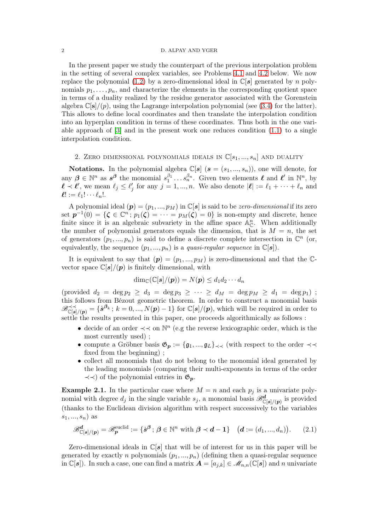#### 2 D. ALPAY AND YGER

In the present paper we study the counterpart of the previous interpolation problem in the setting of several complex variables, see Problems [4.1](#page-10-1) and [4.2](#page-11-0) below. We now replace the polynomial [\(1.2\)](#page-2-2) by a zero-dimensional ideal in  $\mathbb{C}[s]$  generated by n polynomials  $p_1, \ldots, p_n$ , and characterize the elements in the corresponding quotient space in terms of a duality realized by the residue generator associated with the Gorenstein algebra  $\mathbb{C}[s]/(p)$ , using the Lagrange interpolation polynomial (see [\(3.4\)](#page-9-0) for the latter). This allows to define local coordinates and then translate the interpolation condition into an hyperplan condition in terms of these coordinates. Thus both in the one variable approach of  $[3]$  and in the present work one reduces condition  $(1.1)$  to a single interpolation condition.

# <span id="page-3-0"></span>2. ZERO DIMENSIONAL POLYNOMIALS IDEALS IN  $\mathbb{C}[s_1, ..., s_n]$  and duality

**Notations.** In the polynomial algebra  $\mathbb{C}[s]$  ( $s = (s_1, ..., s_n)$ ), one will denote, for any  $\beta \in \mathbb{N}^n$  as  $s^{\beta}$  the monomial  $s_1^{\beta_1}$  $\beta_1^{\beta_1} \dots \beta_n^{\beta_n}$ . Given two elements  $\ell$  and  $\ell'$  in  $\mathbb{N}^n$ , by  $\ell \prec \ell'$ , we mean  $\ell_j \leq \ell'_j$  for any  $j = 1, ..., n$ . We also denote  $|\ell| := \ell_1 + \cdots + \ell_n$  and  $\ell! := \ell_1! \cdots \ell_n!$ .

A polynomial ideal  $(p) = (p_1, ..., p_M)$  in  $\mathbb{C}[s]$  is said to be *zero-dimensional* if its zero set  $p^{-1}(0) = \{ \zeta \in \mathbb{C}^n : p_1(\zeta) = \cdots = p_M(\zeta) = 0 \}$  is non-empty and discrete, hence finite since it is an algebraic subvariety in the affine space  $\mathbb{A}_{\mathbb{C}}^n$ . When additionally the number of polynomial generators equals the dimension, that is  $M = n$ , the set of generators  $(p_1, ..., p_n)$  is said to define a discrete complete intersection in  $\mathbb{C}^n$  (or, equivalently, the sequence  $(p_1, ..., p_n)$  is a *quasi-regular sequence* in  $\mathbb{C}[s]$ .

It is equivalent to say that  $(p) = (p_1, ..., p_M)$  is zero-dimensional and that the Cvector space  $\mathbb{C}[s]/(p)$  is finitely dimensional, with

$$
\dim_{\mathbb{C}}(\mathbb{C}[\boldsymbol{s}]/(\boldsymbol{p}))=N(\boldsymbol{p})\leq d_1d_2\cdots d_n
$$

 $(\text{provided } d_2 = \deg p_2 \geq d_3 = \deg p_3 \geq \cdots \geq d_M = \deg p_M \geq d_1 = \deg p_1)$ ; this follows from Bézout geometric theorem. In order to construct a monomial basis  $\mathscr{B}_{\mathbb{C}[\boldsymbol{s}]/(\boldsymbol{p})}^{\prec \prec} = \{\dot{\boldsymbol{s}}^{\beta_k} \, ; \, k = 0, ..., N(\boldsymbol{p}) - 1\}$  for  $\mathbb{C}[\boldsymbol{s}]/(\boldsymbol{p})$ , which will be required in order to settle the results presented in this paper, one proceeds algorithmically as follows :

- decide of an order  $\prec\prec$  on  $\mathbb{N}^n$  (e.g the reverse lexicographic order, which is the most currently used) ;
- compute a Gröbner basis  $\mathfrak{G}_p := \{\mathfrak{g}_1, ..., \mathfrak{g}_L\}_{\prec \prec}$  (with respect to the order  $\prec \prec$ fixed from the beginning) ;
- collect all monomials that do not belong to the monomial ideal generated by the leading monomials (comparing their multi-exponents in terms of the order  $\prec \prec$ ) of the polynomial entries in  $\mathfrak{G}_p$ .

<span id="page-3-1"></span>**Example 2.1.** In the particular case where  $M = n$  and each  $p_i$  is a univariate polynomial with degree  $d_j$  in the single variable  $s_j$ , a monomial basis  $\mathscr{B}^d_{\mathbb{C}[\mathbf{s}]/(\mathbf{p})}$  is provided (thanks to the Euclidean division algorithm with respect successively to the variables  $s_1, ..., s_n$ ) as

$$
\mathscr{B}_{\mathbb{C}[s]/(p)}^{\mathbf{d}} = \mathscr{B}_{p}^{\text{euclid}} := \{ \dot{s}^{\beta} ; \, \beta \in \mathbb{N}^{n} \text{ with } \beta \prec \mathbf{d} - 1 \} \quad ( \mathbf{d} := (d_{1}, ..., d_{n})). \tag{2.1}
$$

Zero-dimensional ideals in  $\mathbb{C}[s]$  that will be of interest for us in this paper will be generated by exactly n polynomials  $(p_1, ..., p_n)$  (defining then a quasi-regular sequence in  $\mathbb{C}[s]$ . In such a case, one can find a matrix  $\mathbf{A} = [a_{j,k}] \in \mathscr{M}_{n,n}(\mathbb{C}[s])$  and n univariate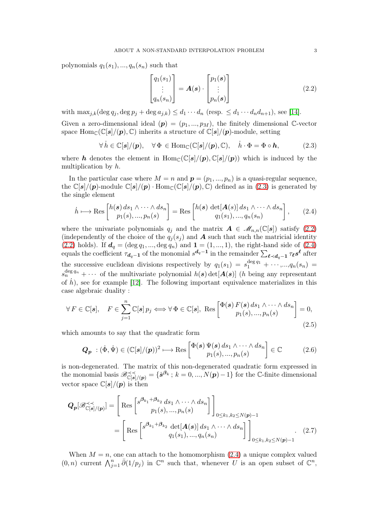polynomials  $q_1(s_1), ..., q_n(s_n)$  such that

<span id="page-4-1"></span>
$$
\begin{bmatrix} q_1(s_1) \\ \vdots \\ q_n(s_n) \end{bmatrix} = \mathbf{A}(\mathbf{s}) \cdot \begin{bmatrix} p_1(\mathbf{s}) \\ \vdots \\ p_n(\mathbf{s}) \end{bmatrix}
$$
 (2.2)

with  $\max_{j,k} (\deg q_j, \deg p_j + \deg a_{j,k}) \leq d_1 \cdots d_n$  (resp.  $\leq d_1 \cdots d_n d_{n+1}$ ), see [\[14\]](#page-15-2).

Given a zero-dimensional ideal  $(p) = (p_1, ..., p_M)$ , the finitely dimensional C-vector space  $\text{Hom}_{\mathbb{C}}(\mathbb{C}[s]/(p), \mathbb{C})$  inherits a structure of  $\mathbb{C}[s]/(p)$ -module, setting

<span id="page-4-0"></span>
$$
\forall \,\dot{h} \in \mathbb{C}[s]/(p), \quad \forall \,\Phi \in \text{Hom}_{\mathbb{C}}(\mathbb{C}[s]/(p), \mathbb{C}), \quad \dot{h} \cdot \Phi = \Phi \circ \mathbf{h}, \tag{2.3}
$$

where h denotes the element in  $Hom_{\mathbb{C}}(\mathbb{C}[s]/(p), \mathbb{C}[s]/(p))$  which is induced by the multiplication by h.

In the particular case where  $M = n$  and  $p = (p_1, ..., p_n)$  is a quasi-regular sequence, the  $\mathbb{C}[s]/(p)$ -module  $\mathbb{C}[s]/(p)$ . Hom $_{\mathbb{C}}(\mathbb{C}[s]/(p), \mathbb{C})$  defined as in [\(2.3\)](#page-4-0) is generated by the single element

<span id="page-4-2"></span>
$$
\dot{h} \longmapsto \text{Res}\begin{bmatrix} h(\boldsymbol{s}) d s_1 \wedge \cdots \wedge d s_n \\ p_1(s), \dots, p_n(s) \end{bmatrix} = \text{Res}\begin{bmatrix} h(\boldsymbol{s}) \ \det[\boldsymbol{A}(s)] d s_1 \wedge \cdots \wedge d s_n \\ q_1(s_1), \dots, q_n(s_n) \end{bmatrix}, \qquad (2.4)
$$

where the univariate polynomials  $q_i$  and the matrix  $A \in \mathcal{M}_{n,n}(\mathbb{C}[s])$  satisfy [\(2.2\)](#page-4-1) (independently of the choice of the  $q_j(s_j)$  and **A** such that such the matricial identity [\(2.2\)](#page-4-1) holds). If  $d_q = (\deg q_1, ..., \deg q_n)$  and  $\mathbf{1} = (1, ..., 1)$ , the right-hand side of [\(2.4\)](#page-4-2) equals the coefficient  $\tau_{d_q-1}$  of the monomial  $s^{d_q-1}$  in the remainder  $\sum_{\ell \prec d_q-1} \tau_{\ell} s^{\ell}$  after the successive euclidean divisions respectively by  $q_1(s_1) = s_1^{\deg q_1} + \cdots, ..., q_n(s_n) =$  $s_n^{\deg q_n} + \cdots$  of the multivariate polynomial  $h(s) \det[A(s)]$  (h being any representant of  $\dot{h}$ ), see for example [\[12\]](#page-15-3). The following important equivalence materializes in this case algebraic duality :

<span id="page-4-3"></span>
$$
\forall F \in \mathbb{C}[s], \quad F \in \sum_{j=1}^{n} \mathbb{C}[s] \, p_j \Longleftrightarrow \forall \, \Phi \in \mathbb{C}[s], \text{ Res}\left[\begin{array}{c} \Phi(s) \, F(s) \, ds_1 \wedge \cdots \wedge ds_n \\ p_1(s), \dots, p_n(s) \end{array}\right] = 0,
$$
\n(2.5)

which amounts to say that the quadratic form

<span id="page-4-5"></span><span id="page-4-4"></span>
$$
\boldsymbol{Q}_{\boldsymbol{p}} \; : (\dot{\Phi}, \dot{\Psi}) \in (\mathbb{C}[s]/(\boldsymbol{p}))^2 \longmapsto \text{Res}\begin{bmatrix} \Phi(\boldsymbol{s}) \, \Psi(\boldsymbol{s}) \, ds_1 \wedge \cdots \wedge ds_n \\ p_1(s), \dots, p_n(s) \end{bmatrix} \in \mathbb{C} \tag{2.6}
$$

is non-degenerated. The matrix of this non-degenerated quadratic form expressed in the monomial basis  $\mathscr{B}_{\mathbb{C}[s]/(p)}^{\prec \prec} = \{ \dot{s}^{\beta_k} : k = 0, ..., N(p)-1 \}$  for the C-finite dimensional vector space  $\mathbb{C}[s]/(p)$  is then

$$
\mathbf{Q}_{p}[\mathscr{B}_{\mathbb{C}[s]/(p)}^{\prec\prec}] = \left[ \text{Res}\begin{bmatrix} s^{\beta_{k_1} + \beta_{k_2}} ds_1 \wedge \cdots \wedge ds_n \\ p_1(s), \ldots, p_n(s) \end{bmatrix} \right]_{0 \leq k_1, k_2 \leq N(p)-1}
$$

$$
= \left[ \text{Res}\begin{bmatrix} s^{\beta_{k_1} + \beta_{k_2}} \det[\mathbf{A}(s)] ds_1 \wedge \cdots \wedge ds_n \\ q_1(s_1), \ldots, q_n(s_n) \end{bmatrix} \right]_{0 \leq k_1, k_2 \leq N(p)-1} . \quad (2.7)
$$

When  $M = n$ , one can attach to the homomorphism  $(2.4)$  a unique complex valued  $(0, n)$  current  $\bigwedge_{j=1}^{n} \overline{\partial}(1/p_j)$  in  $\mathbb{C}^n$  such that, whenever U is an open subset of  $\mathbb{C}^n$ ,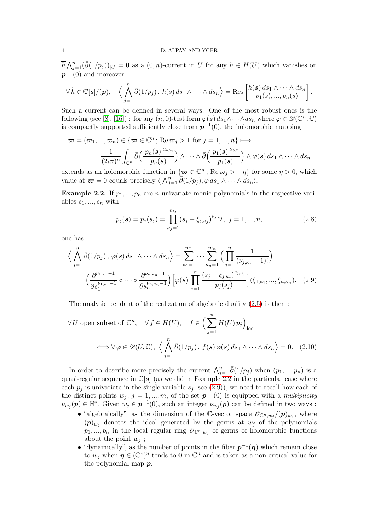#### 4 D. ALPAY AND YGER

 $\overline{h} \bigwedge_{j=1}^n (\overline{\partial}(1/p_j))_{|U} = 0$  as a  $(0, n)$ -current in U for any  $h \in H(U)$  which vanishes on  $p^{-1}(0)$  and moreover

$$
\forall \, h \in \mathbb{C}[s]/(p), \quad \Big\langle \bigwedge_{j=1}^n \bar{\partial}(1/p_j), \, h(s) \, ds_1 \wedge \cdots \wedge ds_n \Big\rangle = \text{Res}\left[\begin{matrix} h(s) \, ds_1 \wedge \cdots \wedge ds_n \\ p_1(s), \ldots, p_n(s) \end{matrix}\right]
$$

Such a current can be defined in several ways. One of the most robust ones is the following (see [\[8\]](#page-15-4), [\[16\]](#page-15-5)) : for any  $(n,0)$ -test form  $\varphi(s) ds_1 \wedge \cdots \wedge ds_n$  where  $\varphi \in \mathscr{D}(\mathbb{C}^n,\mathbb{C})$ is compactly supported sufficiently close from  $p^{-1}(0)$ , the holomorphic mapping

$$
\boldsymbol{\varpi} = (\varpi_1, ..., \varpi_n) \in \{ \boldsymbol{\varpi} \in \mathbb{C}^n \colon \text{Re}\,\varpi_j > 1 \text{ for } j = 1, ..., n \} \longmapsto
$$
\n
$$
\frac{1}{(2i\pi)^n} \int_{\mathbb{C}^n} \bar{\partial} \Big( \frac{|p_n(s)|^{2\varpi_n}}{p_n(s)} \Big) \wedge \dots \wedge \bar{\partial} \Big( \frac{|p_1(s)|^{2\varpi_1}}{p_1(s)} \Big) \wedge \varphi(s) \, ds_1 \wedge \dots \wedge ds_n
$$

extends as an holomorphic function in  $\{\boldsymbol{\varpi} \in \mathbb{C}^n$ ; Re  $\omega_j > -\eta\}$  for some  $\eta > 0$ , which value at  $\boldsymbol{\varpi} = 0$  equals precisely  $\langle \bigwedge_{j=1}^{n} \overline{\partial}(1/p_j), \varphi ds_1 \wedge \cdots \wedge ds_n \rangle$ .

<span id="page-5-0"></span>**Example 2.2.** If  $p_1, ..., p_n$  are n univariate monic polynomials in the respective variables  $s_1, ..., s_n$  with

<span id="page-5-3"></span><span id="page-5-2"></span>
$$
p_j(s) = p_j(s_j) = \prod_{\kappa_j=1}^{m_j} (s_j - \xi_{j,\kappa_j})^{\nu_{j,\kappa_j}}, \ j = 1, ..., n,
$$
\n(2.8)

<span id="page-5-1"></span>.

one has

$$
\left\langle \bigwedge_{j=1}^{n} \bar{\partial}(1/p_{j}), \varphi(s) ds_{1} \wedge \cdots \wedge ds_{n} \right\rangle = \sum_{\kappa_{1}=1}^{m_{1}} \cdots \sum_{\kappa_{n}=1}^{m_{n}} \left( \prod_{j=1}^{n} \frac{1}{(\nu_{j,\kappa_{j}} - 1)!} \right)
$$

$$
\left( \frac{\partial^{\nu_{1,\kappa_{1}}-1}}{\partial s_{1}^{\nu_{1,\kappa_{1}}-1}} \circ \cdots \circ \frac{\partial^{\nu_{n,\kappa_{n}}-1}}{\partial s_{n}^{\nu_{n,\kappa_{n}}-1}} \right) \left[ \varphi(s) \prod_{j=1}^{n} \frac{(s_{j} - \xi_{j,\kappa_{j}})^{\nu_{j,\kappa_{j}}}}{p_{j}(s_{j})} \right] (\xi_{1,\kappa_{1}}, ..., \xi_{n,\kappa_{n}}). \quad (2.9)
$$

The analytic pendant of the realization of algebraic duality [\(2.5\)](#page-4-3) is then :

$$
\forall U \text{ open subset of } \mathbb{C}^n, \quad \forall f \in H(U), \quad f \in \left(\sum_{j=1}^n H(U)p_j\right)_{\text{loc}}
$$

$$
\iff \forall \varphi \in \mathscr{D}(U, \mathbb{C}), \ \left\langle \bigwedge_{j=1}^n \bar{\partial}(1/p_j), \ f(s) \varphi(s) \, ds_1 \wedge \dots \wedge ds_n \right\rangle = 0. \tag{2.10}
$$

In order to describe more precisely the current  $\bigwedge_{j=1}^{n} \bar{\partial}(1/p_j)$  when  $(p_1, ..., p_n)$  is a quasi-regular sequence in  $\mathbb{C}[s]$  (as we did in Example [2.2](#page-5-0) in the particular case where each  $p_j$  is univariate in the single variable  $s_j$ , see [\(2.9\)](#page-5-1)), we need to recall how each of the distinct points  $w_j$ ,  $j = 1, ..., m$ , of the set  $p^{-1}(0)$  is equipped with a *multiplicity*  $\nu_{w_j}(\mathbf{p}) \in \mathbb{N}^*$ . Given  $w_j \in \mathbf{p}^{-1}(0)$ , such an integer  $\nu_{w_j}(\mathbf{p})$  can be defined in two ways :

- "algebraically", as the dimension of the C-vector space  $\mathscr{O}_{\mathbb{C}^n,w_j}/(\mathbf{p})_{w_j}$ , where  $(p)_{w_i}$  denotes the ideal generated by the germs at  $w_j$  of the polynomials  $p_1, ..., p_n$  in the local regular ring  $\mathscr{O}_{\mathbb{C}^n, w_j}$  of germs of holomorphic functions about the point  $w_i$ ;
- "dynamically", as the number of points in the fiber  $p^{-1}(\eta)$  which remain close to  $w_j$  when  $\eta \in (\mathbb{C}^*)^n$  tends to **0** in  $\mathbb{C}^n$  and is taken as a non-critical value for the polynomial map p.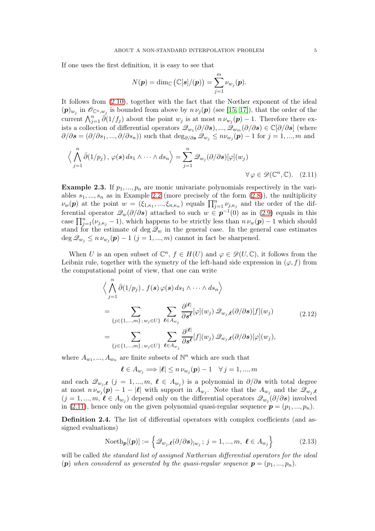If one uses the first definition, it is easy to see that

<span id="page-6-0"></span>
$$
N(\boldsymbol{p}) = \dim_{\mathbb{C}} (\mathbb{C}[\boldsymbol{s}]/(\boldsymbol{p})) = \sum_{j=1}^m \nu_{w_j}(\boldsymbol{p}).
$$

It follows from [\(2.10\)](#page-5-2), together with the fact that the Nœther exponent of the ideal  $(p)_{w_j}$  in  $\mathscr{O}_{\mathbb{C}^n,w_j}$  is bounded from above by  $n \nu_j(p)$  (see [\[15,](#page-15-6) [17\]](#page-15-7)), that the order of the current  $\bigwedge_{j=1}^n \tilde{\partial}(1/f_j)$  about the point  $w_j$  is at most  $n \nu_{w_j}(p) - 1$ . Therefore there exists a collection of differential operators  $\mathscr{Q}_{w_1}(\partial/\partial s), ..., \mathscr{Q}_{w_m}(\partial/\partial s) \in \mathbb{C}[\partial/\partial s]$  (where  $\partial/\partial s = (\partial/\partial s_1, ..., \partial/\partial s_n)$  such that  $\deg_{\partial/\partial s} \mathcal{Q}_{w_j} \leq n \nu_{w_j}(\mathbf{p}) - 1$  for  $j = 1, ..., m$  and

$$
\left\langle \bigwedge_{j=1}^{n} \overline{\partial}(1/p_j), \varphi(\mathbf{s}) \, ds_1 \wedge \dots \wedge ds_n \right\rangle = \sum_{j=1}^{n} \mathcal{Q}_{w_j}(\partial/\partial \mathbf{s})[\varphi](w_j)
$$
  

$$
\forall \varphi \in \mathcal{D}(\mathbb{C}^n, \mathbb{C}). \quad (2.11)
$$

**Example 2.3.** If  $p_1, ..., p_n$  are monic univariate polynomials respectively in the variables  $s_1, ..., s_n$  as in Example [2.2](#page-5-0) (more precisely of the form  $(2.8)$ ), the multiplicity  $\nu_w(\boldsymbol{p})$  at the point  $w = (\xi_{1,\kappa_1},...,\xi_{n,\kappa_n})$  equals  $\prod_{j=1}^n \nu_{j,\kappa_j}$  and the order of the differential operator  $\mathcal{Q}_w(\partial/\partial s)$  attached to such  $w \in \mathbf{p}^{-1}(0)$  as in [\(2.9\)](#page-5-1) equals in this case  $\prod_{j=1}^{n} (\nu_{j,\kappa_j} - 1)$ , which happens to be strictly less than  $n \nu_w(\boldsymbol{p}) - 1$  which should stand for the estimate of deg  $\mathcal{Q}_w$  in the general case. In the general case estimates  $\deg \mathcal{Q}_{w_j} \leq n \nu_{w_j}(\boldsymbol{p}) - 1$   $(j = 1, ..., m)$  cannot in fact be sharpened.

When U is an open subset of  $\mathbb{C}^n$ ,  $f \in H(U)$  and  $\varphi \in \mathscr{D}(U,\mathbb{C})$ , it follows from the Leibniz rule, together with the symetry of the left-hand side expression in  $(\varphi, f)$  from the computational point of view, that one can write

$$
\langle \bigwedge_{j=1}^{n} \bar{\partial}(1/p_{j}), f(s) \varphi(s) ds_{1} \wedge \cdots \wedge ds_{n} \rangle
$$
  
= 
$$
\sum_{\{j \in \{1, \ldots, m\}; w_{j} \in U\}} \sum_{\ell \in A_{w_{j}}} \frac{\partial^{|\ell|}}{\partial s^{\ell}} [\varphi](w_{j}) \mathcal{Q}_{w_{j}, \ell}(\partial/\partial s)[f](w_{j})
$$
  
= 
$$
\sum_{\{j \in \{1, \ldots, m\}; w_{j} \in U\}} \sum_{\ell \in A_{w_{j}}} \frac{\partial^{|\ell|}}{\partial s^{\ell}} [f](w_{j}) \mathcal{Q}_{w_{j}, \ell}(\partial/\partial s)[\varphi](w_{j}),
$$
 (2.12)

<span id="page-6-2"></span>where  $A_{w_1},..., A_{w_n}$  are finite subsets of  $\mathbb{N}^n$  which are such that

$$
\boldsymbol{\ell} \in A_{w_j} \Longrightarrow |\boldsymbol{\ell}| \leq n \, \nu_{w_j}(\boldsymbol{p}) - 1 \quad \forall \, j = 1, ..., m
$$

and each  $\mathscr{Q}_{w_j,\ell}$  (j = 1, ..., m,  $\ell \in A_{w_j}$ ) is a polynomial in  $\partial/\partial s$  with total degree at most  $n \nu_{w_j}(\mathbf{p}) - 1 - |\mathbf{l}|$  with support in  $A_{w_j}$ . Note that the  $A_{w_j}$  and the  $\mathscr{Q}_{w_j,\mathbf{l}}$  $(j = 1, ..., m, \ell \in A_{w_j})$  depend only on the differential operators  $\mathscr{Q}_{w_j}(\partial/\partial s)$  involved in [\(2.11\)](#page-6-0), hence only on the given polynomial quasi-regular sequence  $p = (p_1, ..., p_n)$ .

<span id="page-6-1"></span>Definition 2.4. The list of differential operators with complex coefficients (and assigned evaluations)

$$
\text{Noeth}_{\mathbf{p}}[(\mathbf{p})] := \left\{ \mathcal{Q}_{w_j,\ell}(\partial/\partial s)_{|w_j} \, ; \, j = 1, ..., m, \ \ell \in A_{w_j} \right\} \tag{2.13}
$$

will be called the standard list of assigned Nœtherian differential operators for the ideal (p) when considered as generated by the quasi-regular sequence  $p = (p_1, ..., p_n)$ .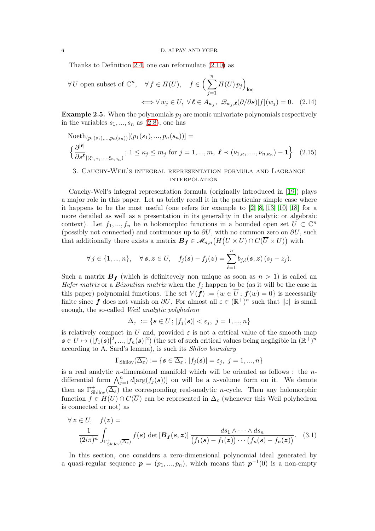Thanks to Definition [2.4,](#page-6-1) one can reformulate [\(2.10\)](#page-5-2) as

<span id="page-7-2"></span>
$$
\forall U \text{ open subset of } \mathbb{C}^n, \quad \forall f \in H(U), \quad f \in \left(\sum_{j=1}^n H(U)p_j\right)_{\text{loc}}
$$

$$
\iff \forall w_j \in U, \ \forall \ell \in A_{w_j}, \ \mathcal{Q}_{w_j,\ell}(\partial/\partial s)[f](w_j) = 0. \tag{2.14}
$$

<span id="page-7-3"></span>**Example 2.5.** When the polynomials  $p_i$  are monic univariate polynomials respectively in the variables  $s_1, ..., s_n$  as  $(2.8)$ , one has

Noteth<sub>(p1(s<sub>1</sub>),...,p<sub>n</sub>(s<sub>n</sub>))[(p1(s<sub>1</sub>),...,p<sub>n</sub>(s<sub>n</sub>))]=\n
$$
\left\{\frac{\partial^{|\ell|}}{\partial s^{\ell}}_{(\xi_{1,\kappa_1},..., \xi_{n,\kappa_n})}; 1 \leq \kappa_j \leq m_j \text{ for } j=1,...,m, \ \ell \prec (\nu_{1,\kappa_1},..., \nu_{n,\kappa_n})-1\right\}
$$
 (2.15)</sub>

### <span id="page-7-0"></span>3. Cauchy-Weil's integral representation formula and Lagrange **INTERPOLATION**

Cauchy-Weil's integral representation formula (originally introduced in [\[19\]](#page-15-8)) plays a major role in this paper. Let us briefly recall it in the particular simple case where it happens to be the most useful (one refers for example to [\[2,](#page-15-9) [8,](#page-15-4) [13,](#page-15-10) [10,](#page-15-11) [18\]](#page-15-12) for a more detailed as well as a presentation in its generality in the analytic or algebraic context). Let  $f_1, ..., f_n$  be n holomorphic functions in a bounded open set  $U \subset \mathbb{C}^n$ (possibly not connected) and continuous up to  $\partial U$ , with no common zero on  $\partial U$ , such that additionally there exists a matrix  $B_f \in \mathscr{M}_{n,n}(H(U \times U) \cap C(\overline{U} \times U))$  with

$$
\forall j \in \{1, ..., n\}, \quad \forall \, \mathbf{s}, \mathbf{z} \in U, \quad f_j(\mathbf{s}) - f_j(\mathbf{z}) = \sum_{\ell=1}^n b_{j,\ell}(\mathbf{s}, \mathbf{z}) \, (s_j - z_j).
$$

Such a matrix  $B_f$  (which is definitevely non unique as soon as  $n > 1$ ) is called an *Hefer matrix* or a *Bézoutian matrix* when the  $f_i$  happen to be (as it will be the case in this paper) polynomial functions. The set  $V(f) := \{w \in \overline{U} : f(w) = 0\}$  is necessarily finite since f does not vanish on  $\partial U$ . For almost all  $\varepsilon \in (\mathbb{R}^+)^n$  such that  $||\varepsilon||$  is small enough, the so-called Weil analytic polyhedron

$$
\Delta_{\varepsilon}~:=\{\boldsymbol{s}\in U\,;\,|f_j(\boldsymbol{s})|<\varepsilon_j,\,\,j=1,...,n\}
$$

is relatively compact in U and, provided  $\varepsilon$  is not a critical value of the smooth map  $s \in U \mapsto (|f_1(s)|^2, ..., |f_n(s)|^2)$  (the set of such critical values being negligible in  $(\mathbb{R}^+)^n$ according to A. Sard's lemma), is such its Shilov boundary

<span id="page-7-1"></span>
$$
\Gamma_{\text{Shilov}}(\overline{\Delta_{\varepsilon}}) := \{ \boldsymbol{s} \in \overline{\Delta_{\varepsilon}} \, ; \, |f_j(\boldsymbol{s})| = \varepsilon_j, \, \, j = 1,...,n \}
$$

is a real analytic *n*-dimensional manifold which will be oriented as follows : the *n*differential form  $\bigwedge_{j=1}^n d[\arg(f_j(s))]$  on will be a *n*-volume form on it. We denote then as  $\Gamma_{\text{Shilov}}^{+}(\overline{\Delta_{\varepsilon}})$  the corresponding real-analytic *n*-cycle. Then any holomorphic function  $f \in H(U) \cap C(\overline{U})$  can be represented in  $\Delta_{\varepsilon}$  (whenever this Weil polyhedron is connected or not) as

$$
\forall z \in U, \quad f(z) =
$$

$$
\frac{1}{(2i\pi)^n} \int_{\Gamma_{\text{Shilov}}^+} f(s) \, \det\left[\mathbf{B}_f(s, z)\right] \frac{ds_1 \wedge \cdots \wedge ds_n}{(f_1(s) - f_1(z)) \cdots (f_n(s) - f_n(z))}. \quad (3.1)
$$

In this section, one considers a zero-dimensional polynomial ideal generated by a quasi-regular sequence  $p = (p_1, ..., p_n)$ , which means that  $p^{-1}(0)$  is a non-empty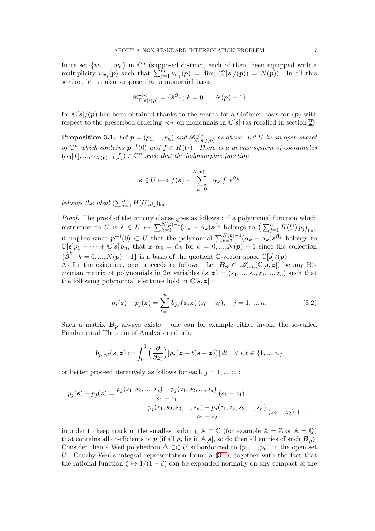finite set  $\{w_1, ..., w_n\}$  in  $\mathbb{C}^n$  (supposed distinct, each of them been equipped with a multiplicity  $\nu_{w_j}(\boldsymbol{p})$  such that  $\sum_{j=1}^m \nu_{w_j}(\boldsymbol{p}) = \dim_{\mathbb{C}}(\mathbb{C}[\boldsymbol{s}]/(\boldsymbol{p})) = N(\boldsymbol{p})$ . In all this section, let us also suppose that a monomial basis

$$
\mathscr{B}_{\mathbb{C}[\boldsymbol{s}]/(\boldsymbol{p})}^{\prec\prec} = \{\dot{\boldsymbol{s}}^{\beta_k} \, ; \, k = 0, ..., N(\boldsymbol{p}) - 1\}
$$

for  $\mathbb{C}[s]/(p)$  has been obtained thanks to the search for a Gröbner basis for  $(p)$  with respect to the prescribed ordering  $\prec\prec$  on monomials in  $\mathbb{C}[s]$  (as recalled in section [2\)](#page-3-0).

<span id="page-8-0"></span>**Proposition 3.1.** Let  $p = (p_1, ..., p_n)$  and  $\mathscr{B}_{\mathbb{C}[s]/(p)}^{\prec \prec}$  as above. Let U be an open subset of  $\mathbb{C}^n$  which contains  $p^{-1}(0)$  and  $f \in H(U)$ . There is a unique system of coordinates  $(\alpha_0[f], ..., \alpha_{N(p)-1}[f]) \in \mathbb{C}^n$  such that the holomorphic function

$$
s \in U \longmapsto f(s) - \sum_{k=0}^{N(p)-1} \alpha_k[f] \, s^{\beta_k}
$$

belongs the ideal  $(\sum_{j=1}^n H(U)p_j)_{\text{loc}}$ .

Proof. The proof of the unicity clause goes as follows : if a polynomial function which restriction to U is  $s \in U \mapsto \sum_{k=0}^{N(p)-1} (\alpha_k - \tilde{\alpha}_k) s^{\beta_k}$  belongs to  $\left(\sum_{j=1}^n H(U) p_j\right)_{\text{loc}}$ , it implies since  $p^{-1}(0) \subset U$  that the polynomial  $\sum_{k=0}^{N(p)-1} (\alpha_k - \tilde{\alpha}_k) s^{\beta_k}$  belongs to  $\mathbb{C}[s]p_1 + \cdots + \mathbb{C}[s]p_n$ , that is  $\alpha_k = \tilde{\alpha}_k$  for  $k = 0, ..., N(p) - 1$  since the collection  $\{\dot{\boldsymbol{\beta}}^k; k = 0, ..., N(\boldsymbol{p})-1\}$  is a basis of the quotient C-vector space  $\mathbb{C}[s]/(\boldsymbol{p})$ . As for the existence, one proceeds as follows. Let  $B_p \in \mathcal{M}_{n,n}(\mathbb{C}[s,z])$  be any Bé-

zoutian matrix of polynomials in 2n variables  $(s, z) = (s_1, ..., s_n, z_1, ..., z_n)$  such that the following polynomial identities hold in  $\mathbb{C}[s, z]$ :

$$
p_j(\mathbf{s}) - p_j(\mathbf{z}) = \sum_{\ell=1}^n \mathbf{b}_{j,\ell}(\mathbf{s}, \mathbf{z}) \left( s_\ell - z_\ell \right), \quad j = 1, ..., n. \tag{3.2}
$$

Such a matrix  $B_p$  always exists : one can for example either invoke the so-called Fundamental Theorem of Analysis and take

$$
\boldsymbol{b}_{\boldsymbol{p},j,\ell}(\boldsymbol{s},\boldsymbol{z}) := \int_0^1 \Big(\frac{\partial}{\partial z_{\ell}}\Big)[p_j\big(\boldsymbol{z} + t(\boldsymbol{s} - \boldsymbol{z})\big)]\,dt \quad \forall\, j,\ell \in \{1,...,n\}
$$

or better proceed iteratively as follows for each  $j = 1, ..., n$ :

$$
p_j(s) - p_j(z) = \frac{p_j(s_1, s_2, ..., s_n) - p_j(z_1, s_2, ..., s_n)}{s_1 - z_1} (s_1 - z_1)
$$
  
+ 
$$
\frac{p_j(z_1, s_2, s_3, ..., s_n) - p_j(z_1, z_2, s_3, ..., s_n)}{s_2 - z_2} (s_2 - z_2) + \cdots
$$

in order to keep track of the smallest subring  $A \subset \mathbb{C}$  (for example  $A = \mathbb{Z}$  or  $A = \mathbb{Q}$ ) that contains all coefficients of  $p$  (if all  $p_j$  lie in  $\mathbb{A}[s]$ , so do then all entries of such  $B_p$ ). Consider then a Weil polyhedron  $\Delta \subset\subset U$  subordonned to  $(p_1, ..., p_n)$  in the open set U. Cauchy-Weil's integral representation formula [\(3.1\)](#page-7-1), together with the fact that the rational function  $\zeta \mapsto 1/(1-\zeta)$  can be expanded normally on any compact of the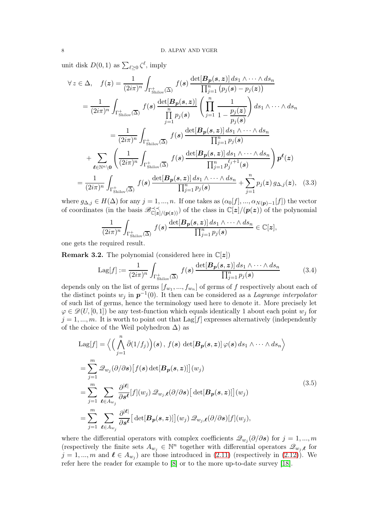unit disk  $D(0, 1)$  as  $\sum_{\ell \geq 0} \zeta^{\ell}$ , imply

$$
\forall z \in \Delta, \quad f(z) = \frac{1}{(2i\pi)^n} \int_{\Gamma_{\text{Shilov}}^+ (\overline{\Delta})} f(s) \frac{\det[B_p(s, z)] ds_1 \wedge \cdots \wedge ds_n}{\prod_{j=1}^n (p_j(s) - p_j(z))}
$$
  
\n
$$
= \frac{1}{(2i\pi)^n} \int_{\Gamma_{\text{Shilov}}^+ (\overline{\Delta})} f(s) \frac{\det[B_p(s, z)]}{\prod_{j=1}^n p_j(s)} \left( \prod_{j=1}^n \frac{1}{1 - \frac{p_j(z)}{p_j(s)}} \right) ds_1 \wedge \cdots \wedge ds_n
$$
  
\n
$$
= \frac{1}{(2i\pi)^n} \int_{\Gamma_{\text{Shilov}}^+ (\overline{\Delta})} f(s) \frac{\det[B_p(s, z)] ds_1 \wedge \cdots \wedge ds_n}{\prod_{j=1}^n p_j(s)}
$$
  
\n
$$
+ \sum_{\ell \in \mathbb{N}^n \setminus 0} \left( \frac{1}{(2i\pi)^n} \int_{\Gamma_{\text{Shilov}}^+ (\overline{\Delta})} f(s) \frac{\det[B_p(s, z)] ds_1 \wedge \cdots \wedge ds_n}{\prod_{j=1}^n p_j^{e_j+1}(s)} \right) p^{\ell}(z)
$$
  
\n
$$
= \frac{1}{(2i\pi)^n} \int_{\Gamma_{\text{Shilov}}^+ (\overline{\Delta})} f(s) \frac{\det[B_p(s, z)] ds_1 \wedge \cdots \wedge ds_n}{\prod_{j=1}^n p_j(s)} + \sum_{j=1}^n p_j(z) g_{\Delta,j}(z), \quad (3.3)
$$

where  $g_{\Delta,j} \in H(\Delta)$  for any  $j = 1, ..., n$ . If one takes as  $(\alpha_0[f], ..., \alpha_{N(p)-1}[f])$  the vector of coordinates (in the basis  $\mathscr{B}_{\mathbb{C}[z]/(p(z))}^{\prec\prec}$ ) of the class in  $\mathbb{C}[z]/(p(z))$  of the polynomial

$$
\frac{1}{(2i\pi)^n}\int_{\Gamma_{\text{Shilov}}^+({\overline{\Delta}})} f(s) \frac{\det[B_p(s,z)]\,ds_1\wedge\cdots\wedge ds_n}{\prod_{j=1}^n p_j(s)} \in {\mathbb C}[z],
$$

one gets the required result.

<span id="page-9-1"></span>**Remark 3.2.** The polynomial (considered here in  $\mathbb{C}[z]$ )

<span id="page-9-0"></span>
$$
\text{Lag}[f] := \frac{1}{(2i\pi)^n} \int_{\Gamma_{\text{Shilov}}^+} f(s) \, \frac{\det[B_p(s,z)] \, ds_1 \wedge \dots \wedge ds_n}{\prod_{j=1}^n p_j(s)} \tag{3.4}
$$

depends only on the list of germs  $[f_{w_1},...,f_{w_n}]$  of germs of  $f$  respectively about each of the distinct points  $w_j$  in  $p^{-1}(0)$ . It then can be considered as a Lagrange interpolator of such list of germs, hence the terminology used here to denote it. More precisely let  $\varphi \in \mathscr{D}(U, [0, 1])$  be any test-function which equals identically 1 about each point  $w_j$  for  $j = 1, ..., m$ . It is worth to point out that Lag[f] expresses alternatively (independently of the choice of the Weil polyhedron  $\Delta$ ) as

$$
\begin{split}\n\text{Lag}[f] &= \left\langle \left( \bigwedge_{j=1}^{n} \bar{\partial}(1/f_{j}) \right) (s) \,, \, f(s) \, \det[B_{p}(s,z)] \, \varphi(s) \, ds_{1} \wedge \cdots \wedge ds_{n} \right\rangle \\
&= \sum_{j=1}^{m} \mathcal{Q}_{w_{j}}(\partial/\partial s) \big[ f(s) \, \det[B_{p}(s,z)] \big] (w_{j}) \\
&= \sum_{j=1}^{m} \sum_{\ell \in A_{w_{j}}} \frac{\partial^{|\ell|}}{\partial s^{\ell}} [f](w_{j}) \, \mathcal{Q}_{w_{j},\ell}(\partial/\partial s) \big[ \det[B_{p}(s,z)] \big] (w_{j}) \\
&= \sum_{j=1}^{m} \sum_{\ell \in A_{w_{j}}} \frac{\partial^{|\ell|}}{\partial s^{\ell}} \big[ \det[B_{p}(s,z)] \big] (w_{j}) \, \mathcal{Q}_{w_{j},\ell}(\partial/\partial s) [f](w_{j}),\n\end{split} \tag{3.5}
$$

where the differential operators with complex coefficients  $\mathcal{Q}_{w_j}(\partial/\partial s)$  for  $j = 1, ..., m$ (respectively the finite sets  $A_{w_j} \in \mathbb{N}^n$  together with differential operators  $\mathscr{Q}_{w_j,\ell}$  for  $j = 1, ..., m$  and  $\ell \in A_{w_j}$  are those introduced in [\(2.11\)](#page-6-0) (respectively in [\(2.12\)](#page-6-2)). We refer here the reader for example to [\[8\]](#page-15-4) or to the more up-to-date survey [\[18\]](#page-15-12).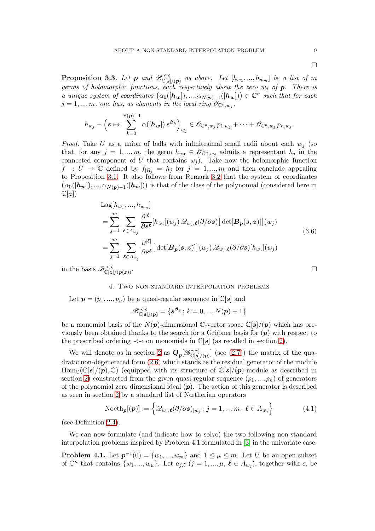$\Box$ 

<span id="page-10-2"></span>**Proposition 3.3.** Let  $p$  and  $\mathscr{B}_{\mathbb{C}[s]/(p)}^{\prec}$  as above. Let  $[h_{w_1},...,h_{w_m}]$  be a list of m germs of holomorphic functions, each respectively about the zero  $w_i$  of  $p$ . There is a unique system of coordinates  $(\alpha_0([\mathbf{h_w}]), ..., \alpha_{N(\mathbf{p})-1}([\mathbf{h_w}])) \in \mathbb{C}^n$  such that for each  $j = 1, ..., m$ , one has, as elements in the local ring  $\mathscr{O}_{\mathbb{C}^n, w_j}$ ,

$$
h_{w_j}-\left(\boldsymbol{s}\mapsto \sum_{k=0}^{N(\boldsymbol{p})-1}\alpha([\boldsymbol{h}_{\boldsymbol{w}}])\,\boldsymbol{s}^{\boldsymbol{\beta}_k}\right)_{w_j}\in \mathscr{O}_{\mathbb{C}^n,w_j}\,p_{1,w_j}+\cdots+\mathscr{O}_{\mathbb{C}^n,w_j}\,p_{n,w_j}.
$$

*Proof.* Take U as a union of balls with infinitesimal small radii about each  $w_i$  (so that, for any  $j = 1, ..., m$ , the germ  $h_{w_j} \in \mathscr{O}_{\mathbb{C}^n, w_j}$  admits a representant  $h_j$  in the connected component of U that contains  $w_j$ ). Take now the holomorphic function  $f : U \to \mathbb{C}$  defined by  $f_{|B_i} = h_j$  for  $j = 1, ..., m$  and then conclude appealing to Proposition [3.1.](#page-8-0) It also follows from Remark [3.2](#page-9-1) that the system of coordinates  $(\alpha_0([h_w]), ..., \alpha_{N(p)-1}([h_w]))$  is that of the class of the polynomial (considered here in  $\mathbb{C}[z])$ 

$$
\begin{split}\n\text{Lag}[h_{w_1}, \dots, h_{w_m}] \\
&= \sum_{j=1}^m \sum_{\ell \in A_{w_j}} \frac{\partial^{|\ell|}}{\partial s^{\ell}} [h_{w_j}](w_j) \mathcal{Q}_{w_j, \ell}(\partial/\partial s) \big[ \det[\mathbf{B}_p(s, z)] \big](w_j) \\
&= \sum_{j=1}^m \sum_{\ell \in A_{w_j}} \frac{\partial^{|\ell|}}{\partial s^{\ell}} \big[ \det[\mathbf{B}_p(s, z)] \big](w_j) \mathcal{Q}_{w_j, \ell}(\partial/\partial s) [h_{w_j}](w_j)\n\end{split} \tag{3.6}
$$

<span id="page-10-0"></span>in the basis  $\mathscr{B}_{\mathbb{C}[z]/(p(z))}^{\prec}$ .

#### 4. Two non-standard interpolation problems

Let  $p = (p_1, ..., p_n)$  be a quasi-regular sequence in  $\mathbb{C}[s]$  and

$$
\mathscr{B}_{\mathbb{C}[\boldsymbol{s}]/(\boldsymbol{p})}^{\prec\prec}=\{\dot{\boldsymbol{s}}^{\boldsymbol{\beta}_k}\,;\,k=0,...,N(\boldsymbol{p})-1\}
$$

be a monomial basis of the  $N(p)$ -dimensional C-vector space  $\mathbb{C}[s]/(p)$  which has previously been obtained thanks to the search for a Gröbner basis for  $(p)$  with respect to the prescribed ordering  $\prec\prec$  on monomials in  $\mathbb{C}[s]$  (as recalled in section [2\)](#page-3-0).

We will denote as in section [2](#page-3-0) as  $Q_p[\mathscr{B}_{\mathbb{C}[s]/(p)}^{\prec\prec}]\$  (see [\(2.7\)](#page-4-4)) the matrix of the quadratic non-degenerated form [\(2.6\)](#page-4-5) which stands as the residual generator of the module  $\text{Hom}_{\mathbb{C}}(\mathbb{C}[s]/(p), \mathbb{C})$  (equipped with its structure of  $\mathbb{C}[s]/(p)$ -module as described in section [2\)](#page-3-0) constructed from the given quasi-regular sequence  $(p_1, ..., p_n)$  of generators of the polynomial zero dimensional ideal  $(p)$ . The action of this generator is described as seen in section [2](#page-3-0) by a standard list of Nœtherian operators

$$
\text{Noeth}_{\boldsymbol{p}}[(\boldsymbol{p})] := \left\{ \mathcal{Q}_{w_j,\boldsymbol{\ell}}(\partial/\partial \boldsymbol{s})_{|w_j} \, ; \, j = 1, ..., m, \, \boldsymbol{\ell} \in A_{w_j} \right\} \tag{4.1}
$$

(see Definition [2.4\)](#page-6-1).

We can now formulate (and indicate how to solve) the two following non-standard interpolation problems inspired by Problem 4.1 formulated in [\[3\]](#page-15-1) in the univariate case.

<span id="page-10-1"></span>**Problem 4.1.** Let  $p^{-1}(0) = \{w_1, ..., w_m\}$  and  $1 \leq \mu \leq m$ . Let U be an open subset of  $\mathbb{C}^n$  that contains  $\{w_1, ..., w_\mu\}$ . Let  $a_{j,\ell}$   $(j = 1, ..., \mu, \ell \in A_{w_j})$ , together with c, be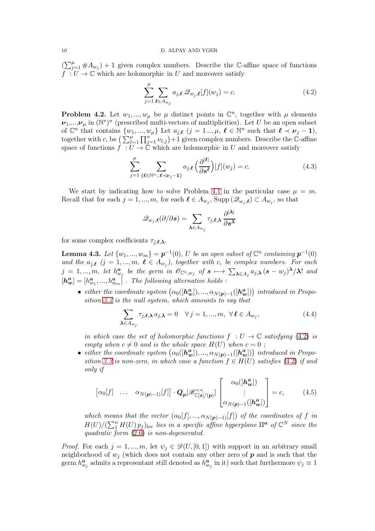$(\sum_{j=1}^{\mu} \# A_{w_j}) + 1$  given complex numbers. Describe the C-affine space of functions  $f: U \to \mathbb{C}$  which are holomorphic in U and moreover satisfy

<span id="page-11-1"></span>
$$
\sum_{j=1}^{\mu} \sum_{\ell \in A_{w_j}} a_{j,\ell} \mathcal{Q}_{w_j,\ell}[f](w_j) = c.
$$
\n(4.2)

<span id="page-11-0"></span>**Problem 4.2.** Let  $w_1, ..., w_\mu$  be  $\mu$  distinct points in  $\mathbb{C}^n$ , together with  $\mu$  elements  $\nu_1,...,\nu_\mu$  in  $(\mathbb{N}^*)^n$  (prescribed multi-vectors of multiplicities). Let U be an open subset of  $\mathbb{C}^n$  that contains  $\{w_1, ..., w_\mu\}$  Let  $a_{j,\ell}$   $(j = 1..., \mu, \ell \in \mathbb{N}^n$  such that  $\ell \prec \nu_j - 1$ , together with c, be  $\left(\sum_{\ell=1}^{\mu}\prod_{j=1}^{n'}\nu_{\ell,j}\right)+1$  given complex numbers. Describe the C-affine space of functions  $\hat{f} : U \to \check{\mathbb{C}}$  which are holomorphic in U and moreover satisfy

<span id="page-11-4"></span>
$$
\sum_{j=1}^{\mu} \sum_{\{\ell \in \mathbb{N}^n : \ell \prec \nu_j - 1\}} a_{j,\ell} \left( \frac{\partial^{|\ell|}}{\partial s^{\ell}} \right) [f](w_j) = c. \tag{4.3}
$$

We start by indicating how to solve Problem [4.1](#page-10-1) in the particular case  $\mu = m$ . Recall that for each  $j = 1, ..., m$ , for each  $\ell \in A_{w_j}$ ,  $\text{Supp}(\mathscr{Q}_{w_j}, \ell) \subset A_{w_j}$ , so that

$$
\mathscr{Q}_{w_j,\boldsymbol{\ell}}(\partial/\partial \boldsymbol{s}) = \sum_{\boldsymbol{\lambda} \in A_{w_j}} \tau_{j,\boldsymbol{\ell},\boldsymbol{\lambda}} \, \frac{\partial^{|\boldsymbol{\lambda}|}}{\partial \boldsymbol{s}^{\boldsymbol{\lambda}}}
$$

for some complex coefficients  $\tau_{j,\ell,\lambda}$ .

<span id="page-11-3"></span>**Lemma 4.3.** Let  $\{w_1, ..., w_m\} = p^{-1}(0)$ , U be an open subset of  $\mathbb{C}^n$  containing  $p^{-1}(0)$ and the  $a_{j,\ell}$   $(j = 1, ..., m, \ell \in A_{w_j})$ , together with c, be complex numbers. For each  $j = 1, ..., m$ , let  $h_{w_j}^a$  be the germ in  $\mathscr{O}_{\mathbb{C}^n, w_j}$  of  $s \mapsto \sum_{\boldsymbol{\lambda} \in A_j} a_{j, \boldsymbol{\lambda}} (s - w_j)^{\boldsymbol{\lambda}} / \boldsymbol{\lambda}!$  and  $[h^a_w] = [h^a_{w_1}, ..., h^a_{w_m}]$ . The following alternative holds:

• either the coordinate system  $(\alpha_0([\mathbf{h}_{w}^a]), ..., \alpha_{N(p)-1}([\mathbf{h}_{w}^a]))$  introduced in Proposition [3.3](#page-10-2) is the null system, which amounts to say that

$$
\sum_{\lambda \in A_{w_j}} \tau_{j,\ell,\lambda} a_{j,\lambda} = 0 \quad \forall j = 1, ..., m, \ \forall \ell \in A_{w_j},
$$
\n(4.4)

in which case the set of holomorphic functions  $f : U \to \mathbb{C}$  satisfying [\(4.2\)](#page-11-1) is empty when  $c \neq 0$  and is the whole space  $H(U)$  when  $c = 0$ ;

• either the coordinate system  $(\alpha_0([\mathbf{h}_{w}^{\mathbf{a}}]), ..., \alpha_{N(\mathbf{p})-1}([\mathbf{h}_{w}^{\mathbf{a}}]))$  introduced in Propo-sition [3.3](#page-10-2) is non-zero, in which case a function  $f \in H(U)$  satisfies [\(4.2\)](#page-11-1) if and only if

<span id="page-11-2"></span>
$$
\begin{bmatrix} \alpha_0[f] & \dots & \alpha_{N(p)-1}[f] \end{bmatrix} \cdot \mathbf{Q_p}[\mathscr{B}_{\mathbb{C}[\mathbf{s}]/(p)}^{\prec \prec} \mathbf{Q_p}[\mathscr{B}_{\mathbb{C}[\mathbf{s}]/(p)}^{\prec}] \begin{bmatrix} \alpha_0([\mathbf{h_w}^a]) \\ \vdots \\ \alpha_{N(p)-1}([\mathbf{h_w}^a]) \end{bmatrix} = c, \quad (4.5)
$$

which means that the vector  $(\alpha_0[f], ..., \alpha_{N(p)-1)}[f])$  of the coordinates of f in  $H(U)/(\sum_{1}^{n} H(U) p_j)_{loc}$  lies in a specific affine hyperplane  $\Pi^a$  of  $\mathbb{C}^N$  since the quadratic form [\(2.6\)](#page-4-5) is non-degenerated.

*Proof.* For each  $j = 1, ..., m$ , let  $\psi_j \in \mathcal{D}(U, [0, 1])$  with support in an arbitrary small neighborhood of  $w_i$  (which does not contain any other zero of  $p$  and is such that the germ  $h_{w_j}^a$  admits a representant still denoted as  $h_{w_j}^a$  in it) such that furthermore  $\psi_j \equiv 1$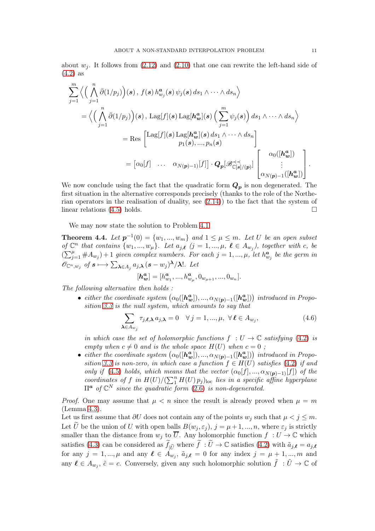about  $w_j$ . It follows from [\(2.12\)](#page-6-2) and [\(2.10\)](#page-5-2) that one can rewrite the left-hand side of [\(4.2\)](#page-11-1) as

$$
\sum_{j=1}^{m} \left\langle \left( \bigwedge_{j=1}^{n} \bar{\partial}(1/p_{j}) \right) (s), f(s) h_{w_{j}}^{a}(s) \psi_{j}(s) ds_{1} \wedge \cdots \wedge ds_{n} \right\rangle
$$
\n
$$
= \left\langle \left( \bigwedge_{j=1}^{n} \bar{\partial}(1/p_{j}) \right) (s), \operatorname{Lag}[f](s) \operatorname{Lag}[h_{w}^{a}](s) \left( \sum_{j=1}^{m} \psi_{j}(s) \right) ds_{1} \wedge \cdots \wedge ds_{n} \right\rangle
$$
\n
$$
= \operatorname{Res} \begin{bmatrix} \operatorname{Lag}[f](s) \operatorname{Lag}[h_{w}^{a}](s) ds_{1} \wedge \cdots \wedge ds_{n} \\ p_{1}(s), \ldots, p_{n}(s) \end{bmatrix}
$$
\n
$$
= [\alpha_{0}[f] \quad \ldots \quad \alpha_{N(p)-1)}[f]] \cdot Q_{p}[\mathscr{B}_{\mathbb{C}[s]/(p)}^{\prec}] \begin{bmatrix} \alpha_{0}([h_{w}^{a}]) \\ \vdots \\ \alpha_{N(p)-1}([h_{w}^{a}]) \end{bmatrix}.
$$

We now conclude using the fact that the quadratic form  $Q_p$  is non degenerated. The first situation in the alternative corresponds precisely (thanks to the role of the Nœtherian operators in the realisation of duality, see [\(2.14\)](#page-7-2)) to the fact that the system of linear relations  $(4.5)$  holds.

We may now state the solution to Problem [4.1.](#page-10-1)

<span id="page-12-0"></span>**Theorem 4.4.** Let  $p^{-1}(0) = \{w_1, ..., w_m\}$  and  $1 \leq \mu \leq m$ . Let U be an open subset of  $\mathbb{C}^n$  that contains  $\{w_1, ..., w_\mu\}$ . Let  $a_{j,\ell}$   $(j = 1, ..., \mu, \ell \in A_{w_j})$ , together with c, be  $(\sum_{j=1}^{\mu} \# A_{w_j}) + 1$  given complex numbers. For each  $j = 1, ..., \mu$ , let  $h_{w_j}^{\boldsymbol{a}}$  be the germ in  $\mathscr{O}_{\mathbb{C}^n, w_j}$  of  $s \longmapsto \sum_{\boldsymbol{\lambda} \in A_j} a_{j, \boldsymbol{\lambda}} (s - w_j)^{\boldsymbol{\lambda}} / \boldsymbol{\lambda}!$ . Let

$$
[\boldsymbol{h^a_w}]= [h^a_{w_1},...,h^a_{w_\mu},0_{w_{\mu+1}},...,0_{w_n}].
$$

The following alternative then holds :

• either the coordinate system  $(\alpha_0([\mathbf{h}_{w}^a]), ..., \alpha_{N(p)-1}([\mathbf{h}_{w}^a]))$  introduced in Proposition [3.3](#page-10-2) is the null system, which amounts to say that

$$
\sum_{\lambda \in A_{w_j}} \tau_{j,\ell,\lambda} \, a_{j,\lambda} = 0 \quad \forall \, j = 1, \dots, \mu, \ \forall \, \ell \in A_{w_j}, \tag{4.6}
$$

in which case the set of holomorphic functions  $f : U \to \mathbb{C}$  satisfying [\(4.2\)](#page-11-1) is empty when  $c \neq 0$  and is the whole space  $H(U)$  when  $c = 0$ ;

• either the coordinate system  $(\alpha_0([\mathbf{h}_{w}^{\mathbf{a}}]), ..., \alpha_{N(\mathbf{p})-1}([\mathbf{h}_{w}^{\mathbf{a}}]))$  introduced in Propo-sition [3.3](#page-10-2) is non-zero, in which case a function  $f \in H(U)$  satisfies [\(4.2\)](#page-11-1) if and only if [\(4.5\)](#page-11-2) holds, which means that the vector  $(\alpha_0[f], ..., \alpha_{N(p)-1}[f])$  of the coordinates of f in  $H(U)/(\sum_{1}^{n} H(U) p_j)_{\text{loc}}$  lies in a specific affine hyperplane  $\Pi^a$  of  $\mathbb{C}^N$  since the quadratic form  $(2.6)$  is non-degenerated.

*Proof.* One may assume that  $\mu < n$  since the result is already proved when  $\mu = m$ (Lemma [4.3\)](#page-11-3).

Let us first assume that  $\partial U$  does not contain any of the points  $w_j$  such that  $\mu < j \leq m$ . Let U be the union of U with open balls  $B(w_j, \varepsilon_j)$ ,  $j = \mu + 1, ..., n$ , where  $\varepsilon_j$  is strictly smaller than the distance from  $w_j$  to  $\overline{U}$ . Any holomorphic function  $f : U \to \mathbb{C}$  which satisfies [\(4.3\)](#page-11-4) can be considered as  $f_{|\tilde{U}}$  where  $f: U \to \mathbb{C}$  satisfies [\(4.2\)](#page-11-1) with  $\tilde{a}_{j,\ell} = a_{j,\ell}$ for any  $j = 1, ..., \mu$  and any  $\ell \in A_{w_j}, \tilde{a}_{j,\ell} = 0$  for any index  $j = \mu + 1, ..., m$  and any  $\ell \in A_{w_j}$ ,  $\tilde{c} = c$ . Conversely, given any such holomorphic solution  $\tilde{f} : \tilde{U} \to \mathbb{C}$  of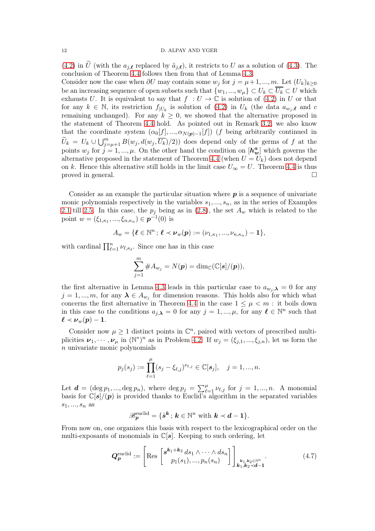[\(4.2\)](#page-11-1) in  $\hat{U}$  (with the  $a_{i,\ell}$  replaced by  $\tilde{a}_{i,\ell}$ ), it restricts to U as a solution of [\(4.3\)](#page-11-4). The conclusion of Theorem [4.4](#page-12-0) follows then from that of Lemma [4.3.](#page-11-3)

Consider now the case when  $\partial U$  may contain some  $w_j$  for  $j = \mu + 1, ..., m$ . Let  $(U_k)_{k \geq 0}$ be an increasing sequence of open subsets such that  $\{w_1, ..., w_\mu\} \subset U_k \subset \overline{U_k} \subset U$  which exhausts U. It is equivalent to say that  $f : U \to \mathbb{C}$  is solution of [\(4.2\)](#page-11-1) in U or that for any  $k \in \mathbb{N}$ , its restriction  $f_{|U_k}$  is solution of [\(4.2\)](#page-11-1) in  $U_k$  (the data  $a_{w_j,\ell}$  and c remaining unchanged). For any  $k \geq 0$ , we showed that the alternative proposed in the statement of Theorem [4.4](#page-12-0) hold. As pointed out in Remark [3.2,](#page-9-1) we also know that the coordinate system  $(\alpha_0[f], ..., \alpha_{N(p)-1}[f])$  (f being arbitrarily continued in  $\widetilde{U}_k = U_k \cup \bigcup_{j=\mu+1}^m B(w_j, d(w_j, \overline{U_k})/2)$  does depend only of the germs of f at the points  $w_j$  for  $j = 1, ..., \mu$ . On the other hand the condition on  $[h_w^a]$  which governs the alternative proposed in the statement of Theorem [4.4](#page-12-0) (when  $U = U_k$ ) does not depend on k. Hence this alternative still holds in the limit case  $U_{\infty} = U$ . Theorem [4.4](#page-12-0) is thus proved in general.  $\Box$ 

Consider as an example the particular situation where  $p$  is a sequence of univariate monic polynomials respectively in the variables  $s_1, ..., s_n$ , as in the series of Examples [2.1](#page-3-1) till [2.5.](#page-7-3) In this case, the  $p_j$  being as in [\(2.8\)](#page-5-3), the set  $A_w$  which is related to the point  $w = (\xi_{1,\kappa_1}, ..., \xi_{n,\kappa_n}) \in \mathbf{p}^{-1}(0)$  is

$$
A_w = \{ \ell \in \mathbb{N}^n \, ; \, \ell \prec \nu_w(p) := (\nu_{1,\kappa_1}, ..., \nu_{n,\kappa_n}) - 1 \},
$$

with cardinal  $\prod_{\ell=1}^n \nu_{\ell,\kappa_{\ell}}$ . Since one has in this case

$$
\sum_{j=1}^m \#A_{w_j}=N(\boldsymbol{p})=\dim_\mathbb{C}(\mathbb{C}[\boldsymbol{s}]/(\boldsymbol{p})),
$$

the first alternative in Lemma [4.3](#page-11-3) leads in this particular case to  $a_{w_i,\lambda} = 0$  for any  $j = 1, ..., m$ , for any  $\lambda \in A_{w_j}$  for dimension reasons. This holds also for which what concerns the first alternative in Theorem [4.4](#page-12-0) in the case  $1 \leq \mu < m$ : it boils down in this case to the conditions  $a_{j,\lambda} = 0$  for any  $j = 1, ..., \mu$ , for any  $\ell \in \mathbb{N}^n$  such that  $\ell \prec \nu_w(p)-1.$ 

Consider now  $\mu \geq 1$  distinct points in  $\mathbb{C}^n$ , paired with vectors of prescribed multiplicities  $\nu_1, \dots, \nu_\mu$  in  $(\mathbb{N}^*)^n$  as in Problem [4.2.](#page-11-0) If  $w_j = (\xi_{j,1}, \dots, \xi_{j,n})$ , let us form the  $n$  univariate monic polynomials

$$
p_j(s_j) := \prod_{\ell=1}^{\mu} (s_j - \xi_{\ell,j})^{\nu_{\ell,j}} \in \mathbb{C}[s_j], \quad j = 1, ..., n.
$$

Let  $\mathbf{d} = (\deg p_1, ..., \deg p_n)$ , where  $\deg p_j = \sum_{\ell=1}^{\mu} \nu_{\ell,j}$  for  $j = 1, ..., n$ . A monomial basis for  $\mathbb{C}[s]/(p)$  is provided thanks to Euclid's algorithm in the separated variables  $s_1, ..., s_n$  as

$$
\mathscr{B}_{\boldsymbol{p}}^{\text{euclid}} = \{ \dot{\boldsymbol{s}}^{\boldsymbol{k}} \, ; \, \boldsymbol{k} \in \mathbb{N}^n \text{ with } \boldsymbol{k} \prec \boldsymbol{d} - 1 \}.
$$

From now on, one organizes this basis with respect to the lexicographical order on the multi-exposants of monomials in  $\mathbb{C}[s]$ . Keeping to such ordering, let

$$
\boldsymbol{Q}_{\boldsymbol{p}}^{\text{euclid}} := \left[ \text{Res} \begin{bmatrix} \boldsymbol{s}^{\boldsymbol{k}_1 + \boldsymbol{k}_2} \, ds_1 \wedge \cdots \wedge ds_n \\ p_1(s_1), \dots, p_n(s_n) \end{bmatrix} \right]_{\boldsymbol{k}_1, \boldsymbol{k}_2 \in \mathbb{N}^n} . \tag{4.7}
$$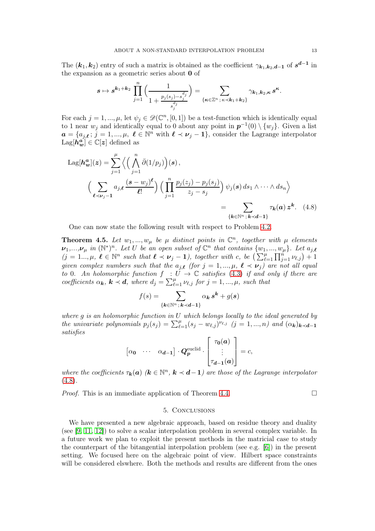The  $(k_1, k_2)$  entry of such a matrix is obtained as the coefficient  $\gamma_{k_1, k_2, d-1}$  of  $s^{d-1}$  in the expansion as a geometric series about 0 of

$$
\boldsymbol{s}\mapsto \boldsymbol{s}^{\boldsymbol{k}_1+\boldsymbol{k}_2}\,\prod_{j=1}^n\Big(\frac{1}{1+\frac{p_j(s_j)-s_j^{d_j}}{s_j^{d_j}}}\Big)=\sum_{\{\boldsymbol{\kappa}\in\mathbb{Z}^n\,;\,\kappa\prec \boldsymbol{k}_1+\boldsymbol{k}_2\}}\gamma_{\boldsymbol{k}_1,\boldsymbol{k}_2,\boldsymbol{\kappa}}\,\boldsymbol{s}^{\boldsymbol{\kappa}}.
$$

For each  $j = 1, ..., \mu$ , let  $\psi_j \in \mathscr{D}(\mathbb{C}^n, [0, 1])$  be a test-function which is identically equal to 1 near  $w_j$  and identically equal to 0 about any point in  $p^{-1}(0) \setminus \{w_j\}$ . Given a list  $a = \{a_{j,\ell} : j = 1, ..., \mu, \ell \in \mathbb{N}^n \text{ with } \ell \prec \nu_j - 1\}$ , consider the Lagrange interpolator  $\text{Lag}[\dot{\boldsymbol{h_w^a}}] \in \mathbb{C}[\boldsymbol{z}]$  defined as

$$
\text{Lag}[h_w^n](z) = \sum_{j=1}^{\mu} \left\langle \left( \bigwedge_{j=1}^n \bar{\partial}(1/p_j) \right) (s), \right.\n\left. \left( \sum_{\ell \prec \nu_j - 1} a_{j,\ell} \frac{(s - w_j)^{\ell}}{\ell!} \right) \left( \prod_{j=1}^n \frac{p_j(z_j) - p_j(s_j)}{z_j - s_j} \right) \psi_j(s) \, ds_1 \wedge \dots \wedge ds_n \right\rangle
$$
\n
$$
= \sum_{\{\mathbf{k} \in \mathbb{N}^n : \mathbf{k} \prec \mathbf{d} - 1\}} \tau_{\mathbf{k}}(\mathbf{a}) \, z^{\mathbf{k}}. \tag{4.8}
$$

One can now state the following result with respect to Problem [4.2.](#page-11-0)

**Theorem 4.5.** Let  $w_1, ..., w_\mu$  be  $\mu$  distinct points in  $\mathbb{C}^n$ , together with  $\mu$  elements  $\nu_1,...,\nu_\mu$  in  $(\mathbb{N}^*)^n$ . Let U be an open subset of  $\mathbb{C}^n$  that contains  $\{w_1,...,w_\mu\}$ . Let  $a_{j,\ell}$  $(j = 1...,\mu, \ell \in \mathbb{N}^n$  such that  $\ell \prec \nu_j - 1$ , together with c, be  $\left(\sum_{\ell=1}^{\mu} \prod_{j=1}^{n} \nu_{\ell,j}\right) + 1$ given complex numbers such that the  $a_{j,\boldsymbol{\ell}}$  (for  $j=1,...,\mu, \ \boldsymbol{\ell} \prec \boldsymbol{\nu}_j)$  are not all equal to 0. An holomorphic function  $f : U \to \mathbb{C}$  satisfies [\(4.3\)](#page-11-4) if and only if there are coefficients  $\alpha_k$ ,  $k \prec d$ , where  $d_j = \sum_{\ell=1}^{\mu} \nu_{\ell,j}$  for  $j = 1, ..., \mu$ , such that

<span id="page-14-1"></span>
$$
f(s) = \sum_{\{\pmb k \in \mathbb{N}^n\,;\, \pmb k \prec \pmb d - \pmb 1\}} \alpha_{\pmb k}\, \pmb s^{\pmb k} + g(\pmb s)
$$

where  $g$  is an holomorphic function in  $U$  which belongs locally to the ideal generated by the univariate polynomials  $p_j(s_j) = \sum_{\ell=1}^{\mu} (s_j - w_{\ell,j})^{\nu_{\ell,j}}$  (j = 1, ..., n) and  $(\alpha_k)_{k \prec d-1}$ satisfies

$$
\begin{bmatrix} \alpha_0 & \cdots & \alpha_{d-1} \end{bmatrix} \cdot \mathbf{Q}_p^{\text{euclid}} \cdot \begin{bmatrix} \tau_0(a) \\ \vdots \\ \tau_{d-1}(a) \end{bmatrix} = c,
$$

where the coefficients  $\tau_k(a)$  ( $k \in \mathbb{N}^n$ ,  $k \prec d-1$ ) are those of the Lagrange interpolator  $(4.8).$  $(4.8).$ 

<span id="page-14-0"></span>*Proof.* This is an immediate application of Theorem [4.4.](#page-12-0)

#### 5. Conclusions

We have presented a new algebraic approach, based on residue theory and duality (see [\[9,](#page-15-13) [11,](#page-15-14) [12\]](#page-15-3)) to solve a scalar interpolation problem in several complex variable. In a future work we plan to exploit the present methods in the matricial case to study the counterpart of the bitangential interpolation problem (see e.g. [\[6\]](#page-15-15)) in the present setting. We focused here on the algebraic point of view. Hilbert space constraints will be considered elswhere. Both the methods and results are different from the ones